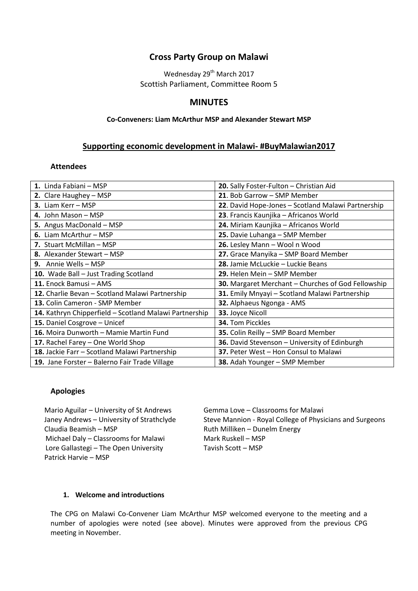# **Cross Party Group on Malawi**

Wednesday 29<sup>th</sup> March 2017 Scottish Parliament, Committee Room 5

# **MINUTES**

### **Co-Conveners: Liam McArthur MSP and Alexander Stewart MSP**

### **Supporting economic development in Malawi- #BuyMalawian2017**

#### **Attendees**

| 1. Linda Fabiani - MSP                                 | 20. Sally Foster-Fulton - Christian Aid            |
|--------------------------------------------------------|----------------------------------------------------|
| 2. Clare Haughey - MSP                                 | 21. Bob Garrow - SMP Member                        |
| 3. Liam Kerr - MSP                                     | 22. David Hope-Jones - Scotland Malawi Partnership |
| 4. John Mason - MSP                                    | 23. Francis Kaunjika - Africanos World             |
| 5. Angus MacDonald - MSP                               | 24. Miriam Kaunjika - Africanos World              |
| 6. Liam McArthur – MSP                                 | 25. Davie Luhanga - SMP Member                     |
| 7. Stuart McMillan - MSP                               | 26. Lesley Mann - Wool n Wood                      |
| 8. Alexander Stewart - MSP                             | 27. Grace Manyika - SMP Board Member               |
| 9. Annie Wells - MSP                                   | 28. Jamie McLuckie – Luckie Beans                  |
| 10. Wade Ball - Just Trading Scotland                  | 29. Helen Mein - SMP Member                        |
| 11. Enock Bamusi - AMS                                 | 30. Margaret Merchant - Churches of God Fellowship |
| 12. Charlie Bevan - Scotland Malawi Partnership        | 31. Emily Mnyayi - Scotland Malawi Partnership     |
| 13. Colin Cameron - SMP Member                         | 32. Alphaeus Ngonga - AMS                          |
| 14. Kathryn Chipperfield - Scotland Malawi Partnership | 33. Joyce Nicoll                                   |
| 15. Daniel Cosgrove - Unicef                           | <b>34.</b> Tom Picckles                            |
| 16. Moira Dunworth - Mamie Martin Fund                 | 35. Colin Reilly - SMP Board Member                |
| 17. Rachel Farey – One World Shop                      | 36. David Stevenson - University of Edinburgh      |
| 18. Jackie Farr - Scotland Malawi Partnership          | 37. Peter West - Hon Consul to Malawi              |
| 19. Jane Forster - Balerno Fair Trade Village          | 38. Adah Younger - SMP Member                      |

#### **Apologies**

Mario Aguilar – University of St Andrews Gemma Love – Classrooms for Malawi Claudia Beamish – MSP The Claudia Beamish – MSP Michael Daly – Classrooms for Malawi Mark Ruskell – MSP Lore Gallastegi – The Open University Tavish Scott – MSP Patrick Harvie – MSP

Janey Andrews – University of Strathclyde Steve Mannion - Royal College of Physicians and Surgeons

#### **1. Welcome and introductions**

The CPG on Malawi Co-Convener Liam McArthur MSP welcomed everyone to the meeting and a number of apologies were noted (see above). Minutes were approved from the previous CPG meeting in November.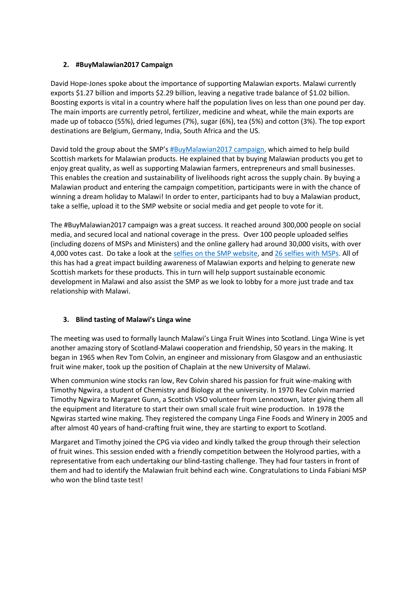### **2. #BuyMalawian2017 Campaign**

David Hope-Jones spoke about the importance of supporting Malawian exports. Malawi currently exports \$1.27 billion and imports \$2.29 billion, leaving a negative trade balance of \$1.02 billion. Boosting exports is vital in a country where half the population lives on less than one pound per day. The main imports are currently petrol, fertilizer, medicine and wheat, while the main exports are made up of tobacco (55%), dried legumes (7%), sugar (6%), tea (5%) and cotton (3%). The top export destinations are Belgium, Germany, India, South Africa and the US.

David told the group about the SMP's [#BuyMalawian2017 campaign,](http://www.scotland-malawipartnership.org/get-involved/buymalawian/) which aimed to help build Scottish markets for Malawian products. He explained that by buying Malawian products you get to enjoy great quality, as well as supporting Malawian farmers, entrepreneurs and small businesses. This enables the creation and sustainability of livelihoods right across the supply chain. By buying a Malawian product and entering the campaign competition, participants were in with the chance of winning a dream holiday to Malawi! In order to enter, participants had to buy a Malawian product, take a selfie, upload it to the SMP website or social media and get people to vote for it.

The #BuyMalawian2017 campaign was a great success. It reached around 300,000 people on social media, and secured local and national coverage in the press. Over 100 people uploaded selfies (including dozens of MSPs and Ministers) and the online gallery had around 30,000 visits, with over 4,000 votes cast. Do take a look at the [selfies on the SMP](http://scotland-malawipartnership.org/get-involved/buymalawian/gallery/) website, and [26 selfies with MSPs.](https://twitter.com/i/moments/840178662523699200) All of this has had a great impact building awareness of Malawian exports and helping to generate new Scottish markets for these products. This in turn will help support sustainable economic development in Malawi and also assist the SMP as we look to lobby for a more just trade and tax relationship with Malawi.

### **3. Blind tasting of Malawi's Linga wine**

The meeting was used to formally launch Malawi's Linga Fruit Wines into Scotland. Linga Wine is yet another amazing story of Scotland-Malawi cooperation and friendship, 50 years in the making. It began in 1965 when Rev Tom Colvin, an engineer and missionary from Glasgow and an enthusiastic fruit wine maker, took up the position of Chaplain at the new University of Malawi.

When communion wine stocks ran low, Rev Colvin shared his passion for fruit wine-making with Timothy Ngwira, a student of Chemistry and Biology at the university. In 1970 Rev Colvin married Timothy Ngwira to Margaret Gunn, a Scottish VSO volunteer from Lennoxtown, later giving them all the equipment and literature to start their own small scale fruit wine production. In 1978 the Ngwiras started wine making. They registered the company Linga Fine Foods and Winery in 2005 and after almost 40 years of hand-crafting fruit wine, they are starting to export to Scotland.

Margaret and Timothy joined the CPG via video and kindly talked the group through their selection of fruit wines. This session ended with a friendly competition between the Holyrood parties, with a representative from each undertaking our blind-tasting challenge. They had four tasters in front of them and had to identify the Malawian fruit behind each wine. Congratulations to Linda Fabiani MSP who won the blind taste test!